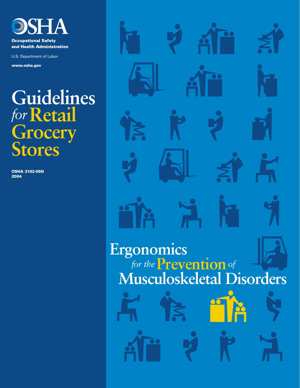

**Occupational Safety** and Health Administration

U.S. Department of Labor

**www.osha.gov**

# **Guidelines** *for***Retail Grocery Stores**

**OSHA 3192-05N 2004**

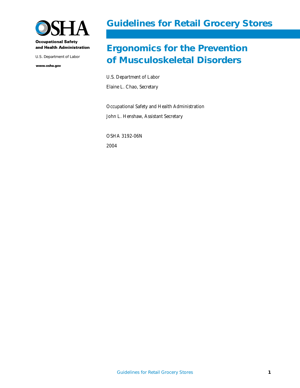

### **Guidelines for Retail Grocery Stores**

## **Ergonomics for the Prevention** U.S. Department of Labor<br> **of Musculoskeletal Disorders**

U.S. Department of Labor Elaine L. Chao, Secretary

Occupational Safety and Health Administration John L. Henshaw, Assistant Secretary

OSHA 3192-06N 2004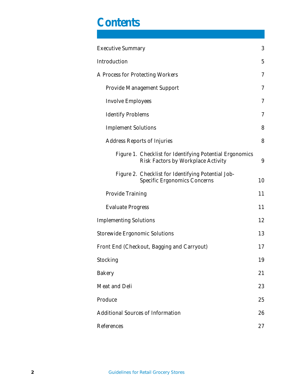# **Contents**

| <b>Executive Summary</b>                                                                       | 3  |
|------------------------------------------------------------------------------------------------|----|
| Introduction                                                                                   | 5  |
| A Process for Protecting Workers                                                               | 7  |
| <b>Provide Management Support</b>                                                              | 7  |
| <b>Involve Employees</b>                                                                       | 7  |
| <b>Identify Problems</b>                                                                       | 7  |
| <b>Implement Solutions</b>                                                                     | 8  |
| <b>Address Reports of Injuries</b>                                                             | 8  |
| Figure 1. Checklist for Identifying Potential Ergonomics<br>Risk Factors by Workplace Activity | 9  |
| Figure 2. Checklist for Identifying Potential Job-<br><b>Specific Ergonomics Concerns</b>      | 10 |
| <b>Provide Training</b>                                                                        | 11 |
| <b>Evaluate Progress</b>                                                                       | 11 |
| <b>Implementing Solutions</b>                                                                  | 12 |
| <b>Storewide Ergonomic Solutions</b>                                                           | 13 |
| Front End (Checkout, Bagging and Carryout)                                                     | 17 |
| Stocking                                                                                       | 19 |
| <b>Bakery</b>                                                                                  | 21 |
| Meat and Deli                                                                                  | 23 |
| Produce                                                                                        | 25 |
| <b>Additional Sources of Information</b>                                                       | 26 |
| References                                                                                     | 27 |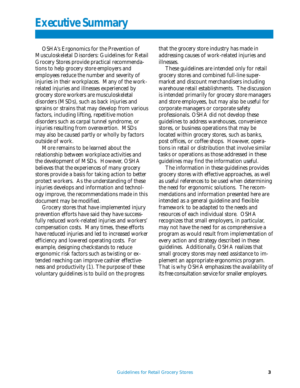OSHA's *Ergonomics for the Prevention of Musculoskeletal Disorders: Guidelines for Retail Grocery Stores* provide practical recommendations to help grocery store employers and employees reduce the number and severity of injuries in their workplaces. Many of the workrelated injuries and illnesses experienced by grocery store workers are musculoskeletal disorders (MSDs), such as back injuries and sprains or strains that may develop from various factors, including lifting, repetitive motion disorders such as carpal tunnel syndrome, or injuries resulting from overexertion. MSDs may also be caused partly or wholly by factors outside of work.

More remains to be learned about the relationship between workplace activities and the development of MSDs. However, OSHA believes that the experiences of many grocery stores provide a basis for taking action to better protect workers. As the understanding of these injuries develops and information and technology improve, the recommendations made in this document may be modified.

Grocery stores that have implemented injury prevention efforts have said they have successfully reduced work-related injuries and workers' compensation costs. Many times, these efforts have reduced injuries and led to increased worker efficiency and lowered operating costs. For example, designing checkstands to reduce ergonomic risk factors such as twisting or extended reaching can improve cashier effectiveness and productivity (1). The purpose of these voluntary guidelines is to build on the progress

that the grocery store industry has made in addressing causes of work-related injuries and illnesses.

These guidelines are intended only for retail grocery stores and combined full-line supermarket and discount merchandisers including warehouse retail establishments. The discussion is intended primarily for grocery store managers and store employees, but may also be useful for corporate managers or corporate safety professionals. OSHA did not develop these guidelines to address warehouses, convenience stores, or business operations that may be located within grocery stores, such as banks, post offices, or coffee shops. However, operations in retail or distribution that involve similar tasks or operations as those addressed in these guidelines may find the information useful.

The information in these guidelines provides grocery stores with effective approaches, as well as useful references to be used when determining the need for ergonomic solutions. The recommendations and information presented here are intended as a general guideline and flexible framework to be adapted to the needs and resources of each individual store. OSHA recognizes that small employers, in particular, may not have the need for as comprehensive a program as would result from implementation of every action and strategy described in these guidelines. Additionally, OSHA realizes that small grocery stores may need assistance to implement an appropriate ergonomics program. That is why OSHA emphasizes the availability of its free consultation service for smaller employers.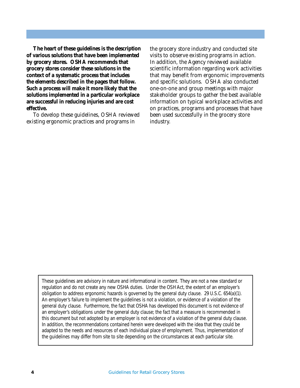**The heart of these guidelines is the description of various solutions that have been implemented by grocery stores. OSHA recommends that grocery stores consider these solutions in the context of a systematic process that includes the elements described in the pages that follow. Such a process will make it more likely that the solutions implemented in a particular workplace are successful in reducing injuries and are cost effective.**

To develop these guidelines, OSHA reviewed existing ergonomic practices and programs in

the grocery store industry and conducted site visits to observe existing programs in action. In addition, the Agency reviewed available scientific information regarding work activities that may benefit from ergonomic improvements and specific solutions. OSHA also conducted one-on-one and group meetings with major stakeholder groups to gather the best available information on typical workplace activities and on practices, programs and processes that have been used successfully in the grocery store industry.

These guidelines are advisory in nature and informational in content. They are not a new standard or regulation and do not create any new OSHA duties. Under the OSH Act, the extent of an employer's obligation to address ergonomic hazards is governed by the general duty clause. 29 U.S.C. 654(a)(1). An employer's failure to implement the guidelines is not a violation, or evidence of a violation of the general duty clause. Furthermore, the fact that OSHA has developed this document is not evidence of an employer's obligations under the general duty clause; the fact that a measure is recommended in this document but not adopted by an employer is not evidence of a violation of the general duty clause. In addition, the recommendations contained herein were developed with the idea that they could be adapted to the needs and resources of each individual place of employment. Thus, implementation of the guidelines may differ from site to site depending on the circumstances at each particular site.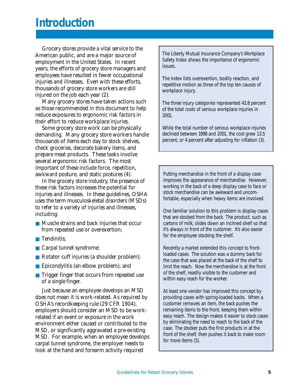## **Introduction**

Grocery stores provide a vital service to the American public, and are a major source of employment in the United States. In recent years, the efforts of grocery store managers and employees have resulted in fewer occupational injuries and illnesses. Even with these efforts, thousands of grocery store workers are still injured on the job each year (2).

Many grocery stores have taken actions such as those recommended in this document to help reduce exposures to ergonomic risk factors in their effort to reduce workplace injuries.

Some grocery store work can be physically demanding. Many grocery store workers handle thousands of items each day to stock shelves, check groceries, decorate bakery items, and prepare meat products. These tasks involve several ergonomic risk factors. The most important of these include force, repetition, awkward posture, and static postures (4).

In the grocery store industry, the presence of these risk factors increases the potential for injuries and illnesses. In these guidelines, OSHA uses the term musculoskeletal disorders (MSDs) to refer to a variety of injuries and illnesses, including:

- Muscle strains and back injuries that occur from repeated use or overexertion;
- Tendinitis;
- Carpal tunnel syndrome;
- Rotator cuff injuries (a shoulder problem);
- Epicondylitis (an elbow problem); and
- Trigger finger that occurs from repeated use of a single finger.

Just because an employee develops an MSD does not mean it is work-related. As required by OSHA's recordkeeping rule (29 CFR 1904), employers should consider an MSD to be workrelated if an event or exposure in the work environment either caused or contributed to the MSD, or significantly aggravated a pre-existing MSD. For example, when an employee develops carpal tunnel syndrome, the employer needs to look at the hand and forearm activity required

The Liberty Mutual Insurance Company's Workplace Safety Index shows the importance of ergonomic issues.

The Index lists overexertion, bodily reaction, and repetitive motion as three of the top ten causes of workplace injury.

The three injury categories represented 43.8 percent of the total costs of serious workplace injuries in 2001.

While the total number of serious workplace injuries declined between 1998 and 2001, the cost grew 13.5 percent, or 4 percent after adjusting for inflation (3).

Putting merchandise in the front of a display case improves the appearance of merchandise. However, working in the back of a deep display case to face or stock merchandise can be awkward and uncomfortable, especially when heavy items are involved.

One familiar solution to this problem is display cases that are stocked from the back. The product, such as cartons of milk, slides down an inclined shelf so that it's always in front of the customer. It's also easier for the employee stocking the shelf.

Recently a market extended this concept to frontloaded cases. The solution was a dummy back for the case that was placed at the back of the shelf to limit the reach. Now the merchandise is at the front of the shelf, readily visible to the customer and within easy reach for the worker.

At least one vendor has improved this concept by providing cases with spring-loaded backs. When a customer removes an item, the back pushes the remaining items to the front, keeping them within easy reach. The design makes it easier to stock cases by eliminating the need to reach to the back of the case. The stocker puts the first products in at the front of the shelf, then pushes it back to make room for more items (5).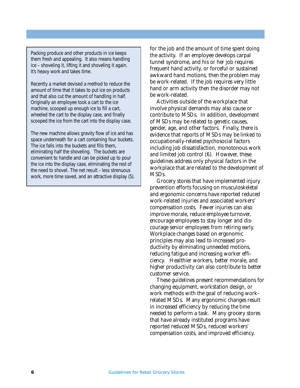Packing produce and other products in ice keeps them fresh and appealing. It also means handling ice – shoveling it, lifting it and shoveling it again. It's heavy work and takes time.

Recently a market devised a method to reduce the amount of time that it takes to put ice on products and that also cut the amount of handling in half. Originally an employee took a cart to the ice machine, scooped up enough ice to fill a cart, wheeled the cart to the display case, and finally scooped the ice from the cart into the display case.

The new machine allows gravity flow of ice and has space underneath for a cart containing four buckets. The ice falls into the buckets and fills them, eliminating half the shoveling. The buckets are convenient to handle and can be picked up to pour the ice into the display case, eliminating the rest of the need to shovel. The net result – less strenuous work, more time saved, and an attractive display (5). for the job and the amount of time spent doing the activity. If an employee develops carpal tunnel syndrome, and his or her job requires frequent hand activity, or forceful or sustained awkward hand motions, then the problem may be work-related. If the job requires very little hand or arm activity then the disorder may not be work-related.

Activities outside of the workplace that involve physical demands may also cause or contribute to MSDs. In addition, development of MSDs may be related to genetic causes, gender, age, and other factors. Finally, there is evidence that reports of MSDs may be linked to occupationally-related psychosocial factors including job dissatisfaction, monotonous work and limited job control (6). However, these guidelines address only physical factors in the workplace that are related to the development of MSDs.

Grocery stores that have implemented injury prevention efforts focusing on musculoskeletal and ergonomic concerns have reported reduced work-related injuries and associated workers' compensation costs. Fewer injuries can also improve morale, reduce employee turnover, encourage employees to stay longer and discourage senior employees from retiring early. Workplace changes based on ergonomic principles may also lead to increased productivity by eliminating unneeded motions, reducing fatigue and increasing worker efficiency. Healthier workers, better morale, and higher productivity can also contribute to better customer service.

These guidelines present recommendations for changing equipment, workstation design, or work methods with the goal of reducing workrelated MSDs. Many ergonomic changes result in increased efficiency by reducing the time needed to perform a task. Many grocery stores that have already instituted programs have reported reduced MSDs, reduced workers' compensation costs, and improved efficiency.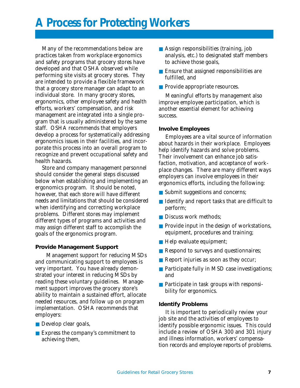# **A Process for Protecting Workers**

Many of the recommendations below are practices taken from workplace ergonomics and safety programs that grocery stores have developed and that OSHA observed while performing site visits at grocery stores. They are intended to provide a flexible framework that a grocery store manager can adapt to an individual store. In many grocery stores, ergonomics, other employee safety and health efforts, workers' compensation, and risk management are integrated into a single program that is usually administered by the same staff. OSHA recommends that employers develop a process for systematically addressing ergonomics issues in their facilities, and incorporate this process into an overall program to recognize and prevent occupational safety and health hazards.

Store and company management personnel should consider the general steps discussed below when establishing and implementing an ergonomics program. It should be noted, however, that each store will have different needs and limitations that should be considered when identifying and correcting workplace problems. Different stores may implement different types of programs and activities and may assign different staff to accomplish the goals of the ergonomics program.

#### **Provide Management Support**

Management support for reducing MSDs and communicating support to employees is very important. You have already demonstrated your interest in reducing MSDs by reading these voluntary guidelines. Management support improves the grocery store's ability to maintain a sustained effort, allocate needed resources, and follow up on program implementation. OSHA recommends that employers:

- Develop clear goals,
- Express the company's commitment to achieving them,
- Assign responsibilities (training, job analysis, etc.) to designated staff members to achieve those goals,
- Ensure that assigned responsibilities are fulfilled, and
- Provide appropriate resources.

Meaningful efforts by management also improve employee participation, which is another essential element for achieving success.

#### **Involve Employees**

Employees are a vital source of information about hazards in their workplace. Employees help identify hazards and solve problems. Their involvement can enhance job satisfaction, motivation, and acceptance of workplace changes. There are many different ways employers can involve employees in their ergonomics efforts, including the following:

- Submit suggestions and concerns;
- Identify and report tasks that are difficult to perform;
- Discuss work methods;
- Provide input in the design of workstations, equipment, procedures and training;
- Help evaluate equipment;
- Respond to surveys and questionnaires;
- Report injuries as soon as they occur;
- Participate fully in MSD case investigations; and
- Participate in task groups with responsibility for ergonomics.

#### **Identify Problems**

It is important to periodically review your job site and the activities of employees to identify possible ergonomic issues. This could include a review of OSHA 300 and 301 injury and illness information, workers' compensation records and employee reports of problems.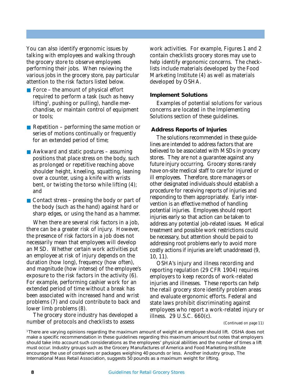You can also identify ergonomic issues by talking with employees and walking through the grocery store to observe employees performing their jobs. When reviewing the various jobs in the grocery store, pay particular attention to the risk factors listed below.

- Force the amount of physical effort required to perform a task (such as heavy lifting<sup>1</sup>, pushing or pulling), handle merchandise, or maintain control of equipment or tools;
- Repetition performing the same motion or series of motions continually or frequently for an extended period of time;
- Awkward and static postures assuming positions that place stress on the body, such as prolonged or repetitive reaching above shoulder height, kneeling, squatting, leaning over a counter, using a knife with wrists bent, or twisting the torso while lifting (4); and

■ Contact stress – pressing the body or part of the body (such as the hand) against hard or sharp edges, or using the hand as a hammer.

When there are several risk factors in a job, there can be a greater risk of injury. However, the presence of risk factors in a job does not necessarily mean that employees will develop an MSD. Whether certain work activities put an employee at risk of injury depends on the duration (how long), frequency (how often), and magnitude (how intense) of the employee's exposure to the risk factors in the activity (6). For example, performing cashier work for an extended period of time without a break has been associated with increased hand and wrist problems (7) and could contribute to back and lower limb problems (8).

The grocery store industry has developed a number of protocols and checklists to assess

work activities. For example, Figures 1 and 2 contain checklists grocery stores may use to help identify ergonomic concerns. The checklists include materials developed by the Food Marketing Institute (4) as well as materials developed by OSHA.

#### **Implement Solutions**

Examples of potential solutions for various concerns are located in the Implementing Solutions section of these guidelines.

#### **Address Reports of Injuries**

The solutions recommended in these guidelines are intended to address factors that are believed to be associated with MSDs in grocery stores. They are not a guarantee against any future injury occurring. Grocery stores rarely have on-site medical staff to care for injured or ill employees. Therefore, store managers or other designated individuals should establish a procedure for receiving reports of injuries and responding to them appropriately. Early intervention is an effective method of handling potential injuries. Employees should report injuries early so that action can be taken to address any potential job-related issues. Medical treatment and possible work restrictions could be necessary, but attention should be paid to addressing root problems early to avoid more costly actions if injuries are left unaddressed (9, 10, 11).

OSHA's injury and illness recording and reporting regulation (29 CFR 1904) requires employers to keep records of work-related injuries and illnesses. These reports can help the retail grocery store identify problem areas and evaluate ergonomic efforts. Federal and state laws prohibit discriminating against employees who report a work-related injury or illness. 29 U.S.C. 660(c).

*(Continued on page 11)*

1 There are varying opinions regarding the maximum amount of weight an employee should lift. OSHA does not make a specific recommendation in these guidelines regarding this maximum amount but notes that employers should take into account such considerations as the employees' physical abilities and the number of times a lift must occur. Industry groups such as the Grocery Manufactures of America and Food Marketing Institute encourage the use of containers or packages weighing 40 pounds or less. Another industry group, The International Mass Retail Association, suggests 50 pounds as a maximum weight for lifting.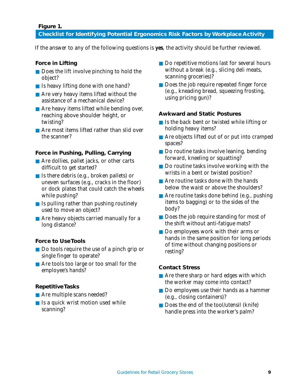#### **Figure 1.**

#### **Checklist for Identifying Potential Ergonomics Risk Factors by Workplace Activity**

If the answer to any of the following questions is **yes**, the activity should be further reviewed.

#### **Force in Lifting**

- Does the lift involve pinching to hold the object?
- Is heavy lifting done with one hand?
- Are very heavy items lifted without the assistance of a mechanical device?
- Are heavy items lifted while bending over, reaching above shoulder height, or twisting?
- Are most items lifted rather than slid over the scanner?

#### **Force in Pushing, Pulling, Carrying**

- Are dollies, pallet jacks, or other carts difficult to get started?
- Is there debris (e.g., broken pallets) or uneven surfaces (e.g., cracks in the floor) or dock plates that could catch the wheels while pushing?
- $\blacksquare$  Is pulling rather than pushing routinely used to move an object?
- Are heavy objects carried manually for a long distance?

#### **Force to Use Tools**

- Do tools require the use of a pinch grip or single finger to operate?
- Are tools too large or too small for the employee's hands?

#### **Repetitive Tasks**

- Are multiple scans needed?
- Is a quick wrist motion used while scanning?
- Do repetitive motions last for several hours without a break (e.g., slicing deli meats, scanning groceries)?
- Does the job require repeated finger force (e.g., kneading bread, squeezing frosting, using pricing gun)?

#### **Awkward and Static Postures**

- Is the back bent or twisted while lifting or holding heavy items?
- Are objects lifted out of or put into cramped spaces?
- Do routine tasks involve leaning, bending forward, kneeling or squatting?
- Do routine tasks involve working with the wrists in a bent or twisted position?
- Are routine tasks done with the hands below the waist or above the shoulders?
- Are routine tasks done behind (e.g., pushing items to bagging) or to the sides of the body?
- Does the job require standing for most of the shift without anti-fatigue mats?
- Do employees work with their arms or hands in the same position for long periods of time without changing positions or resting?

#### **Contact Stress**

- Are there sharp or hard edges with which the worker may come into contact?
- Do employees use their hands as a hammer (e.g., closing containers)?
- Does the end of the tool/utensil (knife) handle press into the worker's palm?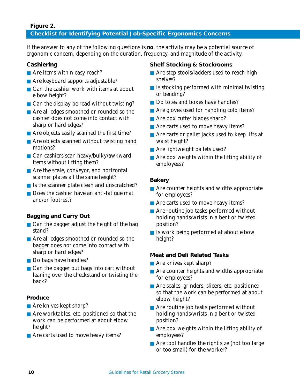#### **Figure 2.**

#### **Checklist for Identifying Potential Job-Specific Ergonomics Concerns**

If the answer to any of the following questions is **no**, the activity may be a potential source of ergonomic concern, depending on the duration, frequency, and magnitude of the activity.

#### **Cashiering**

- Are items within easy reach?
- Are keyboard supports adjustable?
- Can the cashier work with items at about elbow height?
- Can the display be read without twisting?
- Are all edges smoothed or rounded so the cashier does not come into contact with sharp or hard edges?
- Are objects easily scanned the first time?
- Are objects scanned without twisting hand motions?
- Can cashiers scan heavy/bulky/awkward items without lifting them?
- Are the scale, conveyor, and horizontal scanner plates all the same height?
- Is the scanner plate clean and unscratched?
- Does the cashier have an anti-fatigue mat and/or footrest?

#### **Bagging and Carry Out**

- Can the bagger adjust the height of the bag stand?
- Are all edges smoothed or rounded so the bagger does not come into contact with sharp or hard edges?
- Do bags have handles?
- $\blacksquare$  Can the bagger put bags into cart without leaning over the checkstand or twisting the back?

#### **Produce**

- Are knives kept sharp?
- Are worktables, etc. positioned so that the work can be performed at about elbow height?
- Are carts used to move heavy items?

#### **Shelf Stocking & Stockrooms**

- Are step stools/ladders used to reach high shelves?
- $\blacksquare$  Is stocking performed with minimal twisting or bending?
- Do totes and boxes have handles?
- Are gloves used for handling cold items?
- Are box cutter blades sharp?
- Are carts used to move heavy items?
- Are carts or pallet jacks used to keep lifts at waist height?
- Are lightweight pallets used?
- Are box weights within the lifting ability of employees?

#### **Bakery**

- Are counter heights and widths appropriate for employees?
- Are carts used to move heavy items?
- Are routine job tasks performed without holding hands/wrists in a bent or twisted position?
- Is work being performed at about elbow height?

#### **Meat and Deli Related Tasks**

- Are knives kept sharp?
- Are counter heights and widths appropriate for employees?
- Are scales, grinders, slicers, etc. positioned so that the work can be performed at about elbow height?
- Are routine job tasks performed without holding hands/wrists in a bent or twisted position?
- Are box weights within the lifting ability of employees?
- Are tool handles the right size (not too large or too small) for the worker?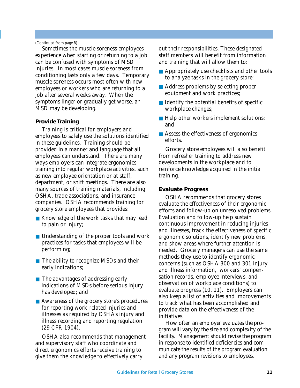#### *(Continued from page 8)*

Sometimes the muscle soreness employees experience when starting or returning to a job can be confused with symptoms of MSD injuries. In most cases muscle soreness from conditioning lasts only a few days. Temporary muscle soreness occurs most often with new employees or workers who are returning to a job after several weeks away. When the symptoms linger or gradually get worse, an MSD may be developing.

#### **Provide Training**

Training is critical for employers and employees to safely use the solutions identified in these guidelines. Training should be provided in a manner and language that all employees can understand. There are many ways employers can integrate ergonomics training into regular workplace activities, such as new employee orientation or at staff, department, or shift meetings. There are also many sources of training materials, including OSHA, trade associations, and insurance companies. OSHA recommends training for grocery store employees that provides:

- Knowledge of the work tasks that may lead to pain or injury;
- Understanding of the proper tools and work practices for tasks that employees will be performing;
- The ability to recognize MSDs and their early indications;
- The advantages of addressing early indications of MSDs before serious injury has developed; and
- Awareness of the grocery store's procedures for reporting work-related injuries and illnesses as required by OSHA's injury and illness recording and reporting regulation (29 CFR 1904).

OSHA also recommends that management and supervisory staff who coordinate and direct ergonomics efforts receive training to give them the knowledge to effectively carry

out their responsibilities. These designated staff members will benefit from information and training that will allow them to:

- Appropriately use checklists and other tools to analyze tasks in the grocery store;
- Address problems by selecting proper equipment and work practices;
- Identify the potential benefits of specific workplace changes;
- Help other workers implement solutions; and
- Assess the effectiveness of ergonomics efforts.

Grocery store employees will also benefit from refresher training to address new developments in the workplace and to reinforce knowledge acquired in the initial training.

#### **Evaluate Progress**

OSHA recommends that grocery stores evaluate the effectiveness of their ergonomic efforts and follow-up on unresolved problems. Evaluation and follow-up help sustain continuous improvement in reducing injuries and illnesses, track the effectiveness of specific ergonomic solutions, identify new problems, and show areas where further attention is needed. Grocery managers can use the same methods they use to identify ergonomic concerns (such as OSHA 300 and 301 injury and illness information, workers' compensation records, employee interviews, and observation of workplace conditions) to evaluate progress (10, 11). Employers can also keep a list of activities and improvements to track what has been accomplished and provide data on the effectiveness of the initiatives.

How often an employer evaluates the program will vary by the size and complexity of the facility. Management should revise the program in response to identified deficiencies and communicate the results of the program evaluation and any program revisions to employees.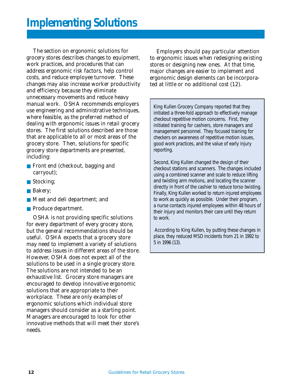The section on ergonomic solutions for grocery stores describes changes to equipment, work practices, and procedures that can address ergonomic risk factors, help control costs, and reduce employee turnover. These changes may also increase worker productivity and efficiency because they eliminate unnecessary movements and reduce heavy manual work. OSHA recommends employers use engineering and administrative techniques, where feasible, as the preferred method of dealing with ergonomic issues in retail grocery stores. The first solutions described are those that are applicable to all or most areas of the grocery store. Then, solutions for specific grocery store departments are presented, including:

- Front end (checkout, bagging and carryout);
- Stocking;
- Bakery;
- Meat and deli department; and
- Produce department.

OSHA is not providing specific solutions for every department of every grocery store, but the general recommendations should be useful. OSHA expects that a grocery store may need to implement a variety of solutions to address issues in different areas of the store. However, OSHA does not expect all of the solutions to be used in a single grocery store. The solutions are not intended to be an exhaustive list. Grocery store managers are encouraged to develop innovative ergonomic solutions that are appropriate to their workplace. These are only examples of ergonomic solutions which individual store managers should consider as a starting point. Managers are encouraged to look for other innovative methods that will meet their store's needs.

Employers should pay particular attention to ergonomic issues when redesigning existing stores or designing new ones. At that time, major changes are easier to implement and ergonomic design elements can be incorporated at little or no additional cost (12).

King Kullen Grocery Company reported that they initiated a three-fold approach to effectively manage checkout repetitive motion concerns. First, they initiated training for cashiers, store managers and management personnel. They focused training for checkers on awareness of repetitive motion issues, good work practices, and the value of early injury reporting.

Second, King Kullen changed the design of their checkout stations and scanners. The changes included using a combined scanner and scale to reduce lifting and twisting arm motions, and locating the scanner directly in front of the cashier to reduce torso twisting. Finally, King Kullen worked to return injured employees to work as quickly as possible. Under their program, a nurse contacts injured employees within 48 hours of their injury and monitors their care until they return to work.

 According to King Kullen, by putting these changes in place, they reduced MSD incidents from 21 in 1992 to 5 in 1996 (13).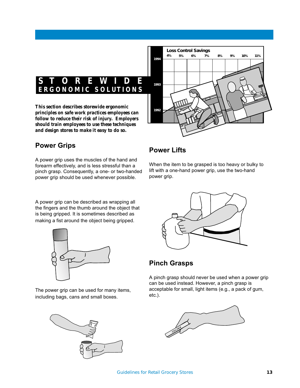

#### **Power Grips**

A power grip uses the muscles of the hand and forearm effectively, and is less stressful than a pinch grasp. Consequently, a one- or two-handed power grip should be used whenever possible.

#### **Power Lifts**

When the item to be grasped is too heavy or bulky to lift with a one-hand power grip, use the two-hand power grip.

A power grip can be described as wrapping all the fingers and the thumb around the object that is being gripped. It is sometimes described as making a fist around the object being gripped.



The power grip can be used for many items, including bags, cans and small boxes.





#### **Pinch Grasps**

A pinch grasp should never be used when a power grip can be used instead. However, a pinch grasp is acceptable for small, light items (e.g., a pack of gum, etc.).

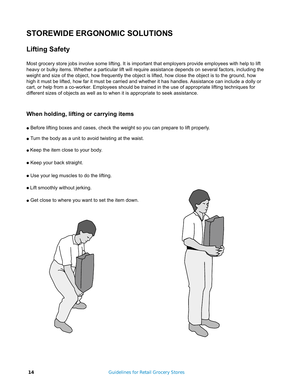### **STOREWIDE ERGONOMIC SOLUTIONS**

### **Lifting Safety**

Most grocery store jobs involve some lifting. It is important that employers provide employees with help to lift heavy or bulky items. Whether a particular lift will require assistance depends on several factors, including the weight and size of the object, how frequently the object is lifted, how close the object is to the ground, how high it must be lifted, how far it must be carried and whether it has handles. Assistance can include a dolly or cart, or help from a co-worker. Employees should be trained in the use of appropriate lifting techniques for different sizes of objects as well as to when it is appropriate to seek assistance.

#### **When holding, lifting or carrying items**

- Before lifting boxes and cases, check the weight so you can prepare to lift properly.
- Turn the body as a unit to avoid twisting at the waist.
- Keep the item close to your body.
- Keep your back straight.
- Use your leg muscles to do the lifting.
- Lift smoothly without jerking.
- Get close to where you want to set the item down.



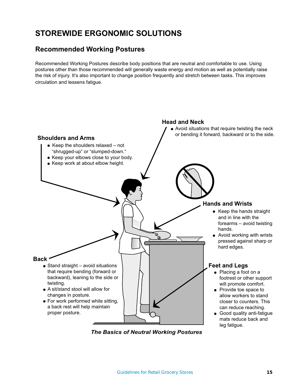### **STOREWIDE ERGONOMIC SOLUTIONS**

#### **Recommended Working Postures**

Recommended Working Postures describe body positions that are neutral and comfortable to use. Using postures other than those recommended will generally waste energy and motion as well as potentially raise the risk of injury. It's also important to change position frequently and stretch between tasks. This improves circulation and lessens fatigue.



*The Basics of Neutral Working Postures*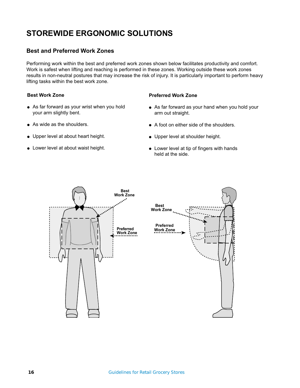### **STOREWIDE ERGONOMIC SOLUTIONS**

#### **Best and Preferred Work Zones**

Performing work within the best and preferred work zones shown below facilitates productivity and comfort. Work is safest when lifting and reaching is performed in these zones. Working outside these work zones results in non-neutral postures that may increase the risk of injury. It is particularly important to perform heavy lifting tasks within the best work zone.

#### **Best Work Zone**

- As far forward as your wrist when you hold your arm slightly bent.
- As wide as the shoulders.
- Upper level at about heart height.
- Lower level at about waist height.

#### **Preferred Work Zone**

- As far forward as your hand when you hold your arm out straight.
- A foot on either side of the shoulders.
- Upper level at shoulder height.
- Lower level at tip of fingers with hands held at the side.

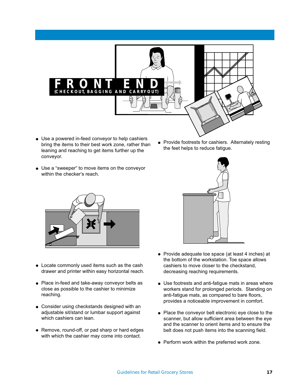

- Use a powered in-feed conveyor to help cashiers bring the items to their best work zone, rather than leaning and reaching to get items further up the conveyor.
- Provide footrests for cashiers. Alternately resting the feet helps to reduce fatigue.
- Use a "sweeper" to move items on the conveyor within the checker's reach.





- Locate commonly used items such as the cash drawer and printer within easy horizontal reach.
- Place in-feed and take-away conveyor belts as close as possible to the cashier to minimize reaching.
- Consider using checkstands designed with an adjustable sit/stand or lumbar support against which cashiers can lean.
- Remove, round-off, or pad sharp or hard edges with which the cashier may come into contact.
- Provide adequate toe space (at least 4 inches) at the bottom of the workstation. Toe space allows cashiers to move closer to the checkstand, decreasing reaching requirements.
- Use footrests and anti-fatigue mats in areas where workers stand for prolonged periods. Standing on anti-fatigue mats, as compared to bare floors, provides a noticeable improvement in comfort.
- Place the conveyor belt electronic eye close to the scanner, but allow sufficient area between the eye and the scanner to orient items and to ensure the belt does not push items into the scanning field.
- Perform work within the preferred work zone.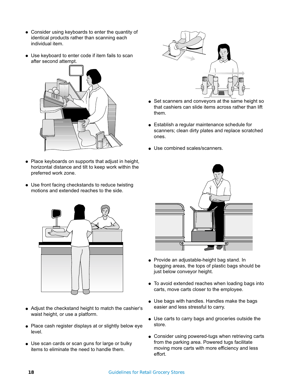- Consider using keyboards to enter the quantity of identical products rather than scanning each individual item.
- Use keyboard to enter code if item fails to scan after second attempt.



- Place keyboards on supports that adjust in height, horizontal distance and tilt to keep work within the preferred work zone.
- Use front facing checkstands to reduce twisting motions and extended reaches to the side.



- Adjust the checkstand height to match the cashier's waist height, or use a platform.
- Place cash register displays at or slightly below eye level.
- Use scan cards or scan guns for large or bulky items to eliminate the need to handle them.



- Set scanners and conveyors at the same height so that cashiers can slide items across rather than lift them.
- Establish a regular maintenance schedule for scanners; clean dirty plates and replace scratched ones.
- Use combined scales/scanners.



- Provide an adjustable-height bag stand. In bagging areas, the tops of plastic bags should be just below conveyor height.
- To avoid extended reaches when loading bags into carts, move carts closer to the employee.
- Use bags with handles. Handles make the bags easier and less stressful to carry.
- Use carts to carry bags and groceries outside the store.
- Consider using powered-tugs when retrieving carts from the parking area. Powered tugs facilitate moving more carts with more efficiency and less effort.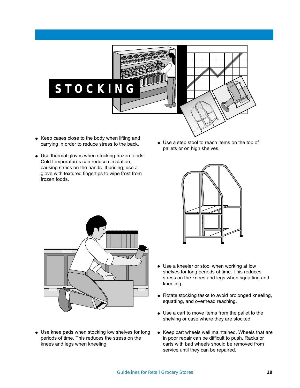

- Keep cases close to the body when lifting and carrying in order to reduce stress to the back.
- Use thermal gloves when stocking frozen foods. Cold temperatures can reduce circulation, causing stress on the hands. If pricing, use a glove with textured fingertips to wipe frost from frozen foods.
- Use a step stool to reach items on the top of pallets or on high shelves.



• Use knee pads when stocking low shelves for long periods of time. This reduces the stress on the knees and legs when kneeling.



- Use a kneeler or stool when working at low shelves for long periods of time. This reduces stress on the knees and legs when squatting and kneeling.
- Rotate stocking tasks to avoid prolonged kneeling, squatting, and overhead reaching.
- Use a cart to move items from the pallet to the shelving or case where they are stocked.
- Keep cart wheels well maintained. Wheels that are in poor repair can be difficult to push. Racks or carts with bad wheels should be removed from service until they can be repaired.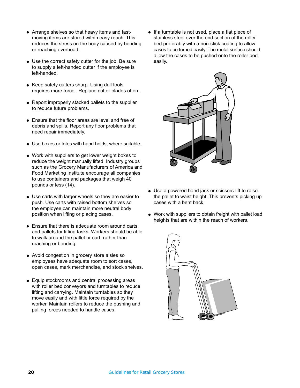- Arrange shelves so that heavy items and fastmoving items are stored within easy reach. This reduces the stress on the body caused by bending or reaching overhead.
- Use the correct safety cutter for the job. Be sure to supply a left-handed cutter if the employee is left-handed.
- Keep safety cutters sharp. Using dull tools requires more force. Replace cutter blades often.
- Report improperly stacked pallets to the supplier to reduce future problems.
- Ensure that the floor areas are level and free of debris and spills. Report any floor problems that need repair immediately.
- Use boxes or totes with hand holds, where suitable.
- Work with suppliers to get lower weight boxes to reduce the weight manually lifted. Industry groups such as the Grocery Manufacturers of America and Food Marketing Institute encourage all companies to use containers and packages that weigh 40 pounds or less (14).
- Use carts with larger wheels so they are easier to push. Use carts with raised bottom shelves so the employee can maintain more neutral body position when lifting or placing cases.
- Ensure that there is adequate room around carts and pallets for lifting tasks. Workers should be able to walk around the pallet or cart, rather than reaching or bending.
- Avoid congestion in grocery store aisles so employees have adequate room to sort cases, open cases, mark merchandise, and stock shelves.
- Equip stockrooms and central processing areas with roller bed conveyors and turntables to reduce lifting and carrying. Maintain turntables so they move easily and with little force required by the worker. Maintain rollers to reduce the pushing and pulling forces needed to handle cases.

● If a turntable is not used, place a flat piece of stainless steel over the end section of the roller bed preferably with a non-stick coating to allow cases to be turned easily. The metal surface should allow the cases to be pushed onto the roller bed easily.



- Use a powered hand jack or scissors-lift to raise the pallet to waist height. This prevents picking up cases with a bent back.
- Work with suppliers to obtain freight with pallet load heights that are within the reach of workers.

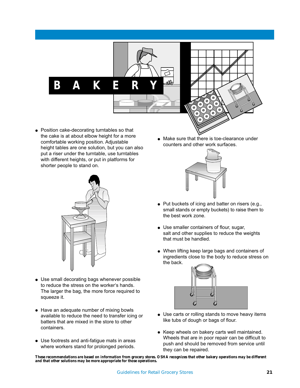**BAKERY**



● Position cake-decorating turntables so that the cake is at about elbow height for a more comfortable working position. Adjustable height tables are one solution, but you can also put a riser under the turntable, use turntables with different heights, or put in platforms for shorter people to stand on.



- Use small decorating bags whenever possible to reduce the stress on the worker's hands. The larger the bag, the more force required to squeeze it.
- Have an adequate number of mixing bowls available to reduce the need to transfer icing or batters that are mixed in the store to other containers.
- Use footrests and anti-fatigue mats in areas where workers stand for prolonged periods.

● Make sure that there is toe-clearance under counters and other work surfaces.



- Put buckets of icing and batter on risers (e.g., small stands or empty buckets) to raise them to the best work zone.
- Use smaller containers of flour, sugar, salt and other supplies to reduce the weights that must be handled.
- When lifting keep large bags and containers of ingredients close to the body to reduce stress on the back.



- Use carts or rolling stands to move heavy items like tubs of dough or bags of flour.
- Keep wheels on bakery carts well maintained. Wheels that are in poor repair can be difficult to push and should be removed from service until they can be repaired.

*These recommendations are based on information from grocery stores. OSHA recognizes that other bakery operations may be different and that other solutions may be more appropriate for those operations.*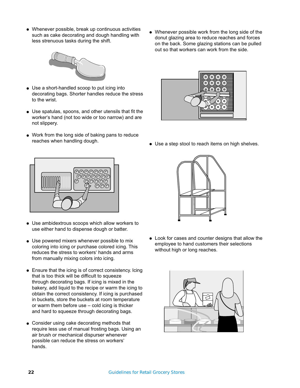- less strenuous tasks during the shift. ● Whenever possible, break up continuous activities such as cake decorating and dough handling with
- Whenever possible work from the long side of the donut glazing area to reduce reaches and forces on the back. Some glazing stations can be pulled out so that workers can work from the side.



- Use a short-handled scoop to put icing into decorating bags. Shorter handles reduce the stress to the wrist.
- Use spatulas, spoons, and other utensils that fit the worker's hand (not too wide or too narrow) and are not slippery.
- Work from the long side of baking pans to reduce reaches when handling dough.



- Use ambidextrous scoops which allow workers to use either hand to dispense dough or batter.
- Use powered mixers whenever possible to mix coloring into icing or purchase colored icing. This reduces the stress to workers' hands and arms from manually mixing colors into icing.
- Ensure that the icing is of correct consistency. Icing that is too thick will be difficult to squeeze through decorating bags. If icing is mixed in the bakery, add liquid to the recipe or warm the icing to obtain the correct consistency. If icing is purchased in buckets, store the buckets at room temperature or warm them before use – cold icing is thicker and hard to squeeze through decorating bags.
- Consider using cake decorating methods that require less use of manual frosting bags. Using an air brush or mechanical dispurser whenever possible can reduce the stress on workers' hands.



• Use a step stool to reach items on high shelves.



● Look for cases and counter designs that allow the employee to hand customers their selections without high or long reaches.

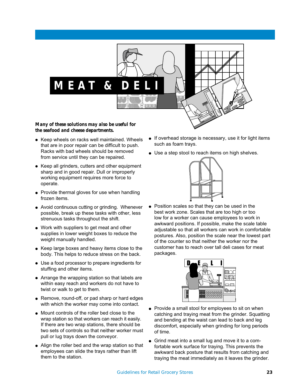# **MEAT & D**

*Many of these solutions may also be useful for the seafood and cheese departments.*

- Keep wheels on racks well maintained. Wheels that are in poor repair can be difficult to push. Racks with bad wheels should be removed from service until they can be repaired.
- Keep all grinders, cutters and other equipment sharp and in good repair. Dull or improperly working equipment requires more force to operate.
- Provide thermal gloves for use when handling frozen items.
- Avoid continuous cutting or grinding. Whenever possible, break up these tasks with other, less strenuous tasks throughout the shift.
- Work with suppliers to get meat and other supplies in lower weight boxes to reduce the weight manually handled.
- Keep large boxes and heavy items close to the body. This helps to reduce stress on the back.
- Use a food processor to prepare ingredients for stuffing and other items.
- Arrange the wrapping station so that labels are within easy reach and workers do not have to twist or walk to get to them.
- Remove, round-off, or pad sharp or hard edges with which the worker may come into contact.
- Mount controls of the roller bed close to the wrap station so that workers can reach it easily. If there are two wrap stations, there should be two sets of controls so that neither worker must pull or lug trays down the conveyor.
- Align the roller bed and the wrap station so that employees can slide the trays rather than lift them to the station.
- If overhead storage is necessary, use it for light items such as foam trays.
- Use a step stool to reach items on high shelves.



Position scales so that they can be used in the best work zone. Scales that are too high or too low for a worker can cause employees to work in awkward positions. If possible, make the scale table adjustable so that all workers can work in comfortable postures. Also, position the scale near the lowest part of the counter so that neither the worker nor the customer has to reach over tall deli cases for meat packages.



- Provide a small stool for employees to sit on when catching and traying meat from the grinder. Squatting and bending at the waist can lead to back and leg discomfort, especially when grinding for long periods of time.
- Grind meat into a small lug and move it to a comfortable work surface for traying. This prevents the awkward back posture that results from catching and traying the meat immediately as it leaves the grinder.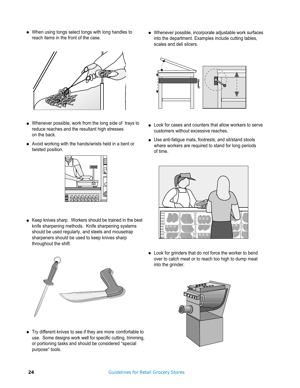● When using tongs select tongs with long handles to reach items in the front of the case.



- Whenever possible, work from the long side of trays to reduce reaches and the resultant high stresses on the back.
- Avoid working with the hands/wrists held in a bent or twisted position. twisted position.



● Keep knives sharp. Workers should be trained in the best knife sharpening methods. Knife sharpening systems should be used regularly, and steels and mousetrap sharpeners should be used to keep knives sharp throughout the shift.

● Whenever possible, incorporate adjustable work surfaces into the department. Examples include cutting tables, scales and deli slicers.



- Look for cases and counters that allow workers to serve customers without excessive reaches.
- Use anti-fatigue mats, footrests, and sit/stand stools where workers are required to stand for long periods of time.



● Look for grinders that do not force the worker to bend over to catch meat or to reach too high to dump meat into the grinder.



● Try different knives to see if they are more comfortable to use. Some designs work well for specific cutting, trimming, or portioning tasks and should be considered "special purpose" tools.

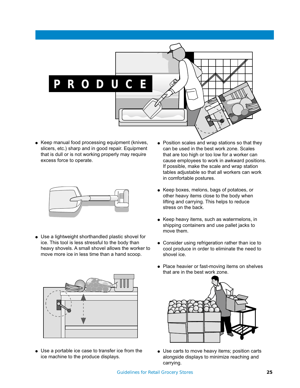

• Keep manual food processing equipment (knives, slicers, etc.) sharp and in good repair. Equipment that is dull or is not working properly may require excess force to operate.



● Use a lightweight shorthandled plastic shovel for ice. This tool is less stressful to the body than heavy shovels. A small shovel allows the worker to move more ice in less time than a hand scoop.



● Use a portable ice case to transfer ice from the ice machine to the produce displays.

- Position scales and wrap stations so that they can be used in the best work zone. Scales that are too high or too low for a worker can cause employees to work in awkward positions. If possible, make the scale and wrap station tables adjustable so that all workers can work in comfortable postures.
- Keep boxes, melons, bags of potatoes, or other heavy items close to the body when lifting and carrying. This helps to reduce stress on the back.
- Keep heavy items, such as watermelons, in shipping containers and use pallet jacks to move them.
- Consider using refrigeration rather than ice to cool produce in order to eliminate the need to shovel ice.
- Place heavier or fast-moving items on shelves that are in the best work zone.



● Use carts to move heavy items; position carts alongside displays to minimize reaching and carrying.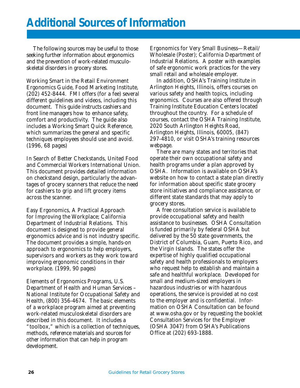The following sources may be useful to those seeking further information about ergonomics and the prevention of work-related musculoskeletal disorders in grocery stores.

*Working Smart in the Retail Environment Ergonomics Guide*, Food Marketing Institute, (202) 452-8444. FMI offers (for a fee) several different guidelines and videos, including this document. This guide instructs cashiers and front line managers how to enhance safety, comfort and productivity. The guide also includes a Working Smart Quick Reference, which summarizes the general and specific techniques employees should use and avoid. (1996, 68 pages)

*In Search of Better Checkstands,* United Food and Commercial Workers International Union. This document provides detailed information on checkstand design, particularly the advantages of grocery scanners that reduce the need for cashiers to grip and lift grocery items across the scanner.

*Easy Ergonomics, A Practical Approach for Improving the Workplace*; California Department of Industrial Relations. This document is designed to provide general ergonomics advice and is not industry specific. The document provides a simple, hands-on approach to ergonomics to help employers, supervisors and workers as they work toward improving ergonomic conditions in their workplace. (1999, 90 pages)

*Elements of Ergonomics Programs*, U.S. Department of Health and Human Services – National Institute for Occupational Safety and Health, (800) 356-4674. The basic elements of a workplace program aimed at preventing work-related musculoskeletal disorders are described in this document. It includes a "toolbox," which is a collection of techniques, methods, reference materials and sources for other information that can help in program development.

*Ergonomics for Very Small Business—Retail/ Wholesale (Poster)*; California Department of Industrial Relations. A poster with examples of safe ergonomic work practices for the very small retail and wholesale employer.

In addition, OSHA's Training Institute in Arlington Heights, Illinois, offers courses on various safety and health topics, including ergonomics. Courses are also offered through Training Institute Education Centers located throughout the country. For a schedule of courses, contact the OSHA Training Institute, 2020 South Arlington Heights Road, Arlington Heights, Illinois, 60005, (847) 297-4810, or visit OSHA's training resources webpage.

There are many states and territories that operate their own occupational safety and health programs under a plan approved by OSHA. Information is available on OSHA's website on how to contact a state plan directly for information about specific state grocery store initiatives and compliance assistance, or different state standards that may apply to grocery stores.

A free consultation service is available to provide occupational safety and health assistance to businesses. OSHA Consultation is funded primarily by federal OSHA but delivered by the 50 state governments, the District of Columbia, Guam, Puerto Rico, and the Virgin Islands. The states offer the expertise of highly qualified occupational safety and health professionals to employers who request help to establish and maintain a safe and healthful workplace. Developed for small and medium-sized employers in hazardous industries or with hazardous operations, the service is provided at no cost to the employer and is confidential. Information on OSHA Consultation can be found at www.osha.gov or by requesting the booklet *Consultation Services for the Employer* (OSHA 3047) from OSHA's Publications Office at (202) 693-1888.